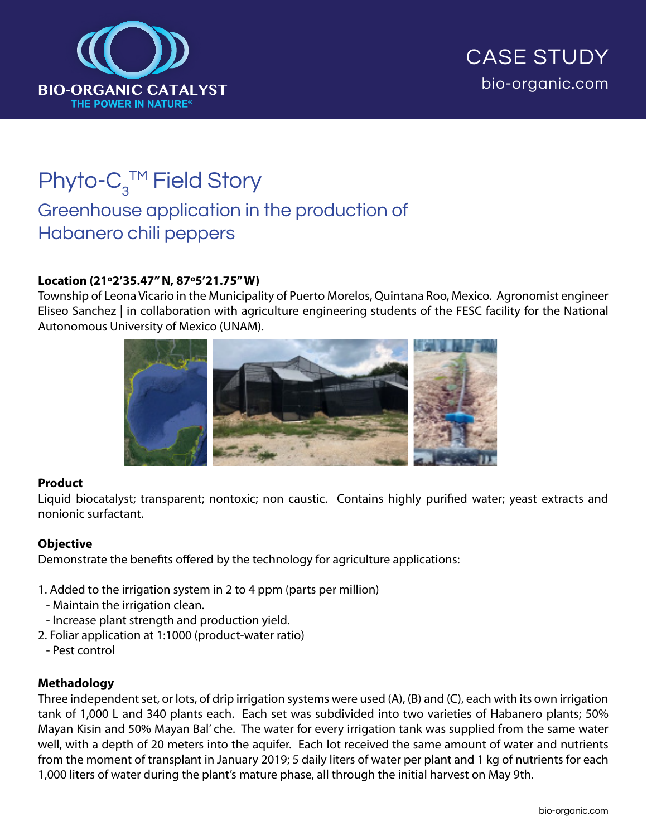

# Phyto- $C_3^{\text{TM}}$  Field Story Greenhouse application in the production of Habanero chili peppers

# **Location (21º2'35.47" N, 87º5'21.75" W)**

Township of Leona Vicario in the Municipality of Puerto Morelos, Quintana Roo, Mexico. Agronomist engineer Eliseo Sanchez | in collaboration with agriculture engineering students of the FESC facility for the National Autonomous University of Mexico (UNAM).



#### **Product**

Liquid biocatalyst; transparent; nontoxic; non caustic. Contains highly purified water; yeast extracts and nonionic surfactant.

#### **Objective**

Demonstrate the benefits offered by the technology for agriculture applications:

- 1. Added to the irrigation system in 2 to 4 ppm (parts per million)
- Maintain the irrigation clean.
- Increase plant strength and production yield.
- 2. Foliar application at 1:1000 (product-water ratio)
- Pest control

# **Methadology**

Three independent set, or lots, of drip irrigation systems were used (A), (B) and (C), each with its own irrigation tank of 1,000 L and 340 plants each. Each set was subdivided into two varieties of Habanero plants; 50% Mayan Kisin and 50% Mayan Bal' che. The water for every irrigation tank was supplied from the same water well, with a depth of 20 meters into the aquifer. Each lot received the same amount of water and nutrients from the moment of transplant in January 2019; 5 daily liters of water per plant and 1 kg of nutrients for each 1,000 liters of water during the plant's mature phase, all through the initial harvest on May 9th.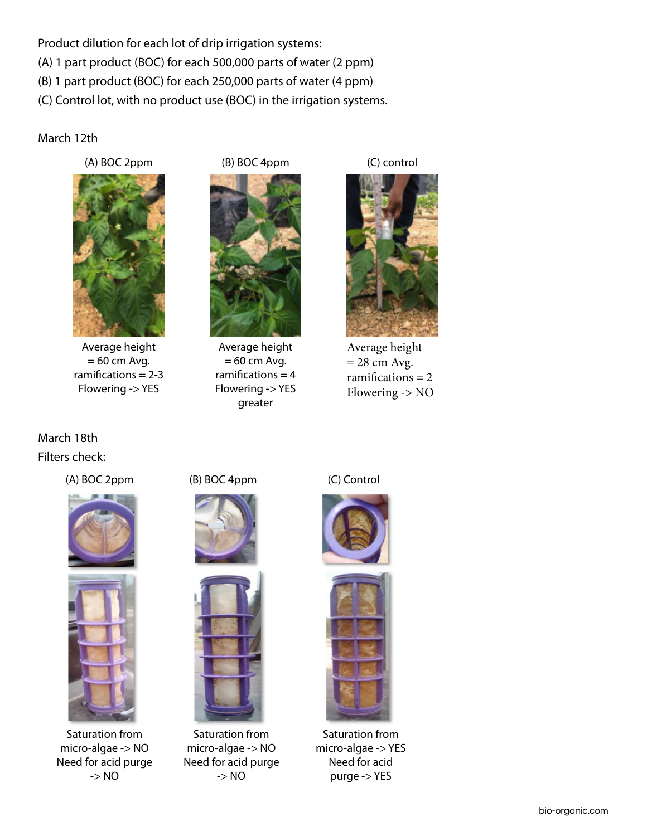Product dilution for each lot of drip irrigation systems: (A) 1 part product (BOC) for each 500,000 parts of water (2 ppm) (B) 1 part product (BOC) for each 250,000 parts of water (4 ppm) (C) Control lot, with no product use (BOC) in the irrigation systems.

### March 12th

(A) BOC 2ppm



Average height  $= 60$  cm Avg. ramifications  $= 2-3$ Flowering -> YES

(B) BOC 4ppm



Average height  $= 60$  cm Avg. ramifications  $= 4$ Flowering -> YES greater

(C) control

Average height  $= 28$  cm Avg. ramifications  $= 2$ Flowering -> NO

March 18th Filters check:

(A) BOC 2ppm (B) BOC 4ppm (C) Control





Saturation from micro-algae -> NO Need for acid purge -> NO





Saturation from micro-algae -> NO Need for acid purge -> NO





Saturation from micro-algae -> YES Need for acid purge -> YES

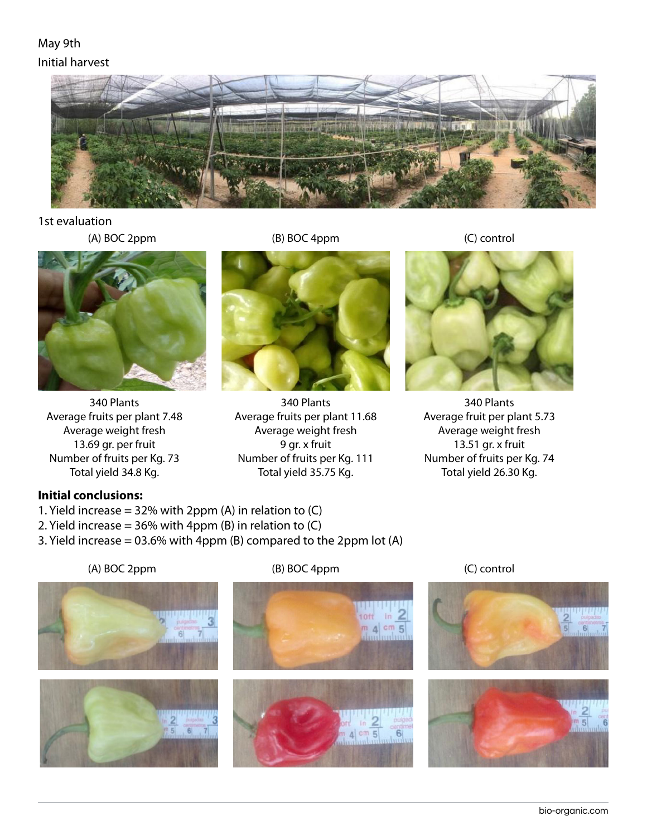# May 9th Initial harvest



1st evaluation

(A) BOC 2ppm (B) BOC 4ppm (C) control



340 Plants Average fruits per plant 7.48 Average weight fresh 13.69 gr. per fruit Number of fruits per Kg. 73 Total yield 34.8 Kg.



340 Plants Average fruits per plant 11.68 Average weight fresh 9 gr. x fruit Number of fruits per Kg. 111 Total yield 35.75 Kg.



340 Plants Average fruit per plant 5.73 Average weight fresh 13.51 gr. x fruit Number of fruits per Kg. 74 Total yield 26.30 Kg.

# **Initial conclusions:**

- 1. Yield increase =  $32\%$  with 2ppm (A) in relation to (C)
- 2. Yield increase =  $36\%$  with 4ppm (B) in relation to (C)
- 3. Yield increase = 03.6% with 4ppm (B) compared to the 2ppm lot (A)

(A) BOC 2ppm (B) BOC 4ppm (C) control







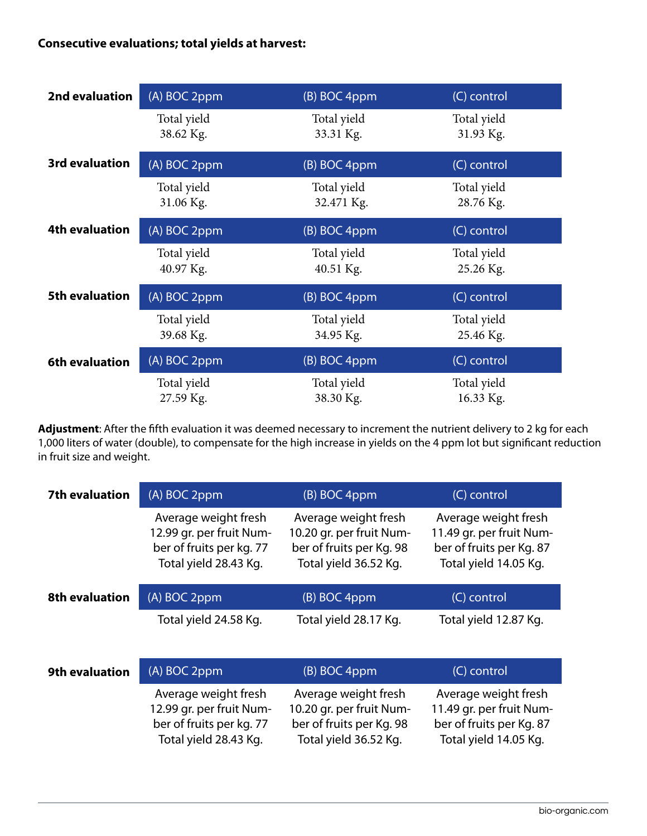# **Consecutive evaluations; total yields at harvest:**

| 2nd evaluation        | (A) BOC 2ppm             | (B) BOC 4ppm              | (C) control              |  |
|-----------------------|--------------------------|---------------------------|--------------------------|--|
|                       | Total yield<br>38.62 Kg. | Total yield<br>33.31 Kg.  | Total yield<br>31.93 Kg. |  |
| <b>3rd evaluation</b> | (A) BOC 2ppm             | (B) BOC 4ppm              | (C) control              |  |
|                       | Total yield<br>31.06 Kg. | Total yield<br>32.471 Kg. | Total yield<br>28.76 Kg. |  |
| <b>4th evaluation</b> | (A) BOC 2ppm             | (B) BOC 4ppm              | (C) control              |  |
|                       | Total yield<br>40.97 Kg. | Total yield<br>40.51 Kg.  | Total yield<br>25.26 Kg. |  |
| <b>5th evaluation</b> | (A) BOC 2ppm             | (B) BOC 4ppm              | (C) control              |  |
|                       | Total yield<br>39.68 Kg. | Total yield<br>34.95 Kg.  | Total yield<br>25.46 Kg. |  |
| 6th evaluation        | (A) BOC 2ppm             | (B) BOC 4ppm              | (C) control              |  |
|                       | Total yield<br>27.59 Kg. | Total yield<br>38.30 Kg.  | Total yield<br>16.33 Kg. |  |

**Adjustment**: After the fifth evaluation it was deemed necessary to increment the nutrient delivery to 2 kg for each 1,000 liters of water (double), to compensate for the high increase in yields on the 4 ppm lot but significant reduction in fruit size and weight.

| <b>7th evaluation</b> | (A) BOC 2ppm                                                                                          | (B) BOC 4ppm                                                                                          | (C) control                                                                                           |
|-----------------------|-------------------------------------------------------------------------------------------------------|-------------------------------------------------------------------------------------------------------|-------------------------------------------------------------------------------------------------------|
|                       | Average weight fresh<br>12.99 gr. per fruit Num-<br>ber of fruits per kg. 77<br>Total yield 28.43 Kg. | Average weight fresh<br>10.20 gr. per fruit Num-<br>ber of fruits per Kg. 98<br>Total yield 36.52 Kg. | Average weight fresh<br>11.49 gr. per fruit Num-<br>ber of fruits per Kg. 87<br>Total yield 14.05 Kg. |
| <b>8th evaluation</b> | (A) BOC 2ppm                                                                                          | (B) BOC 4ppm                                                                                          | (C) control                                                                                           |
|                       | Total yield 24.58 Kg.                                                                                 | Total yield 28.17 Kg.                                                                                 | Total yield 12.87 Kg.                                                                                 |
| <b>9th evaluation</b> | (A) BOC 2ppm                                                                                          | (B) BOC 4ppm                                                                                          | (C) control                                                                                           |
|                       | Average weight fresh<br>12.99 gr. per fruit Num-<br>ber of fruits per kg. 77<br>Total yield 28.43 Kg. | Average weight fresh<br>10.20 gr. per fruit Num-<br>ber of fruits per Kg. 98<br>Total yield 36.52 Kg. | Average weight fresh<br>11.49 gr. per fruit Num-<br>ber of fruits per Kg. 87<br>Total yield 14.05 Kg. |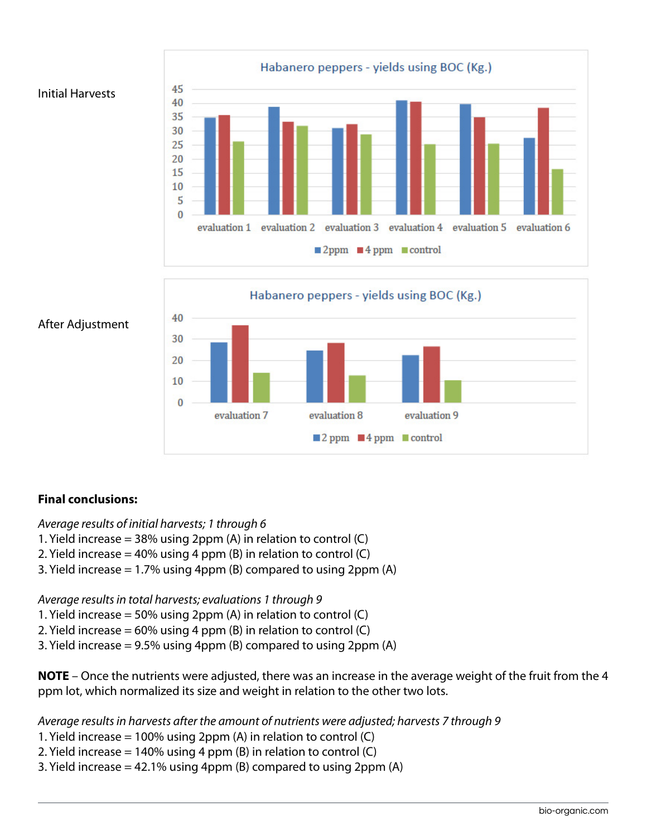





### After Adjustment

# **Final conclusions:**

# *Average results of initial harvests; 1 through 6*

- 1. Yield increase = 38% using 2ppm (A) in relation to control (C)
- 2. Yield increase =  $40\%$  using 4 ppm (B) in relation to control (C)
- 3. Yield increase = 1.7% using 4ppm (B) compared to using 2ppm (A)

*Average results in total harvests; evaluations 1 through 9*

- 1. Yield increase = 50% using 2ppm (A) in relation to control (C)
- 2. Yield increase =  $60\%$  using 4 ppm (B) in relation to control (C)
- 3. Yield increase = 9.5% using 4ppm (B) compared to using 2ppm (A)

**NOTE** – Once the nutrients were adjusted, there was an increase in the average weight of the fruit from the 4 ppm lot, which normalized its size and weight in relation to the other two lots.

*Average results in harvests after the amount of nutrients were adjusted; harvests 7 through 9*

- 1. Yield increase = 100% using 2ppm (A) in relation to control (C)
- 2. Yield increase =  $140\%$  using 4 ppm (B) in relation to control (C)
- 3. Yield increase  $= 42.1\%$  using 4ppm (B) compared to using 2ppm (A)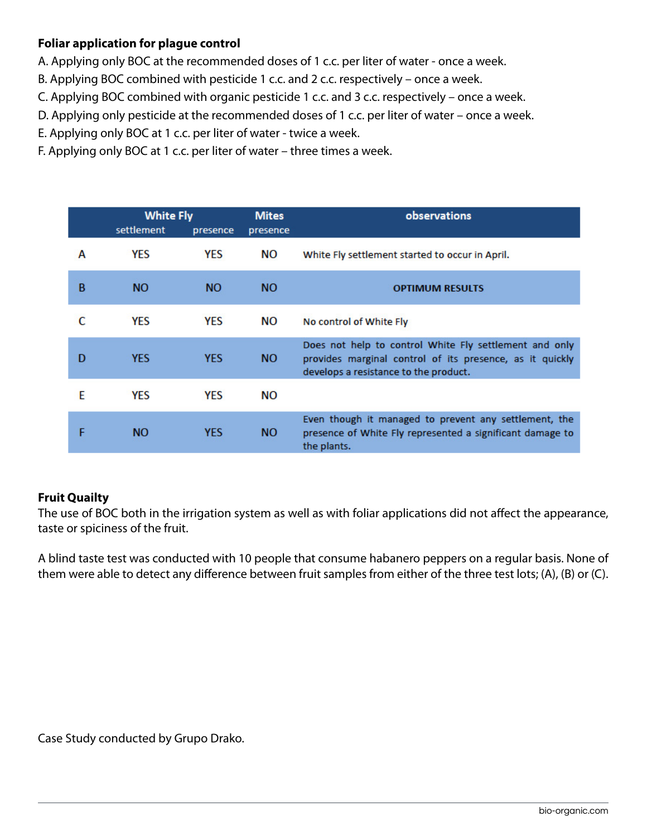# **Foliar application for plague control**

- A. Applying only BOC at the recommended doses of 1 c.c. per liter of water once a week.
- B. Applying BOC combined with pesticide 1 c.c. and 2 c.c. respectively once a week.
- C. Applying BOC combined with organic pesticide 1 c.c. and 3 c.c. respectively once a week.
- D. Applying only pesticide at the recommended doses of 1 c.c. per liter of water once a week.
- E. Applying only BOC at 1 c.c. per liter of water twice a week.
- F. Applying only BOC at 1 c.c. per liter of water three times a week.

|   | <b>White Fly</b> |            | <b>Mites</b> | observations                                                                                                                                                |
|---|------------------|------------|--------------|-------------------------------------------------------------------------------------------------------------------------------------------------------------|
|   | settlement       | presence   | presence     |                                                                                                                                                             |
| A | <b>YES</b>       | <b>YES</b> | NΟ           | White Fly settlement started to occur in April.                                                                                                             |
| B | NO.              | NO.        | <b>NO</b>    | <b>OPTIMUM RESULTS</b>                                                                                                                                      |
|   | <b>YFS</b>       | <b>YFS</b> | NΟ           | No control of White Fly                                                                                                                                     |
| D | <b>YES</b>       | <b>YES</b> | <b>NO</b>    | Does not help to control White Fly settlement and only<br>provides marginal control of its presence, as it quickly<br>develops a resistance to the product. |
| F | <b>YES</b>       | <b>YES</b> | NΟ           |                                                                                                                                                             |
|   | <b>NO</b>        | <b>YES</b> | <b>NO</b>    | Even though it managed to prevent any settlement, the<br>presence of White Fly represented a significant damage to<br>the plants.                           |

# **Fruit Quailty**

The use of BOC both in the irrigation system as well as with foliar applications did not affect the appearance, taste or spiciness of the fruit.

A blind taste test was conducted with 10 people that consume habanero peppers on a regular basis. None of them were able to detect any difference between fruit samples from either of the three test lots; (A), (B) or (C).

Case Study conducted by Grupo Drako.